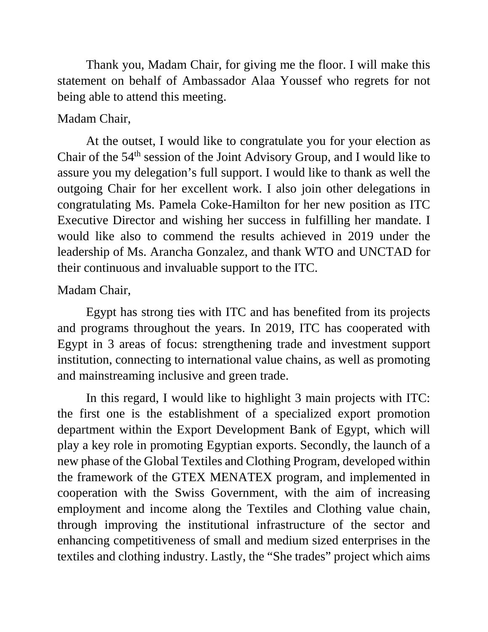Thank you, Madam Chair, for giving me the floor. I will make this statement on behalf of Ambassador Alaa Youssef who regrets for not being able to attend this meeting.

## Madam Chair,

At the outset, I would like to congratulate you for your election as Chair of the 54th session of the Joint Advisory Group, and I would like to assure you my delegation's full support. I would like to thank as well the outgoing Chair for her excellent work. I also join other delegations in congratulating Ms. Pamela Coke-Hamilton for her new position as ITC Executive Director and wishing her success in fulfilling her mandate. I would like also to commend the results achieved in 2019 under the leadership of Ms. Arancha Gonzalez, and thank WTO and UNCTAD for their continuous and invaluable support to the ITC.

## Madam Chair,

Egypt has strong ties with ITC and has benefited from its projects and programs throughout the years. In 2019, ITC has cooperated with Egypt in 3 areas of focus: strengthening trade and investment support institution, connecting to international value chains, as well as promoting and mainstreaming inclusive and green trade.

In this regard, I would like to highlight 3 main projects with ITC: the first one is the establishment of a specialized export promotion department within the Export Development Bank of Egypt, which will play a key role in promoting Egyptian exports. Secondly, the launch of a new phase of the Global Textiles and Clothing Program, developed within the framework of the GTEX MENATEX program, and implemented in cooperation with the Swiss Government, with the aim of increasing employment and income along the Textiles and Clothing value chain, through improving the institutional infrastructure of the sector and enhancing competitiveness of small and medium sized enterprises in the textiles and clothing industry. Lastly, the "She trades" project which aims